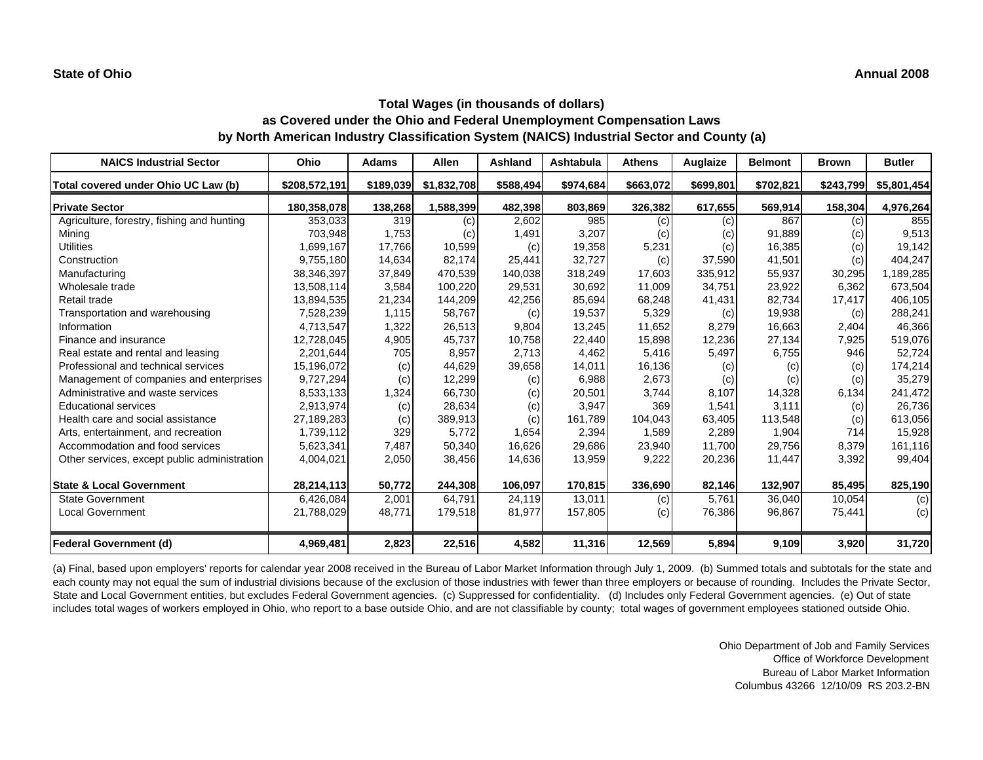| <b>NAICS Industrial Sector</b>               | Ohio          | <b>Adams</b> | <b>Allen</b> | Ashland   | Ashtabula | <b>Athens</b> | Auglaize  | <b>Belmont</b> | <b>Brown</b> | <b>Butler</b> |
|----------------------------------------------|---------------|--------------|--------------|-----------|-----------|---------------|-----------|----------------|--------------|---------------|
| Total covered under Ohio UC Law (b)          | \$208,572,191 | \$189,039    | \$1,832,708  | \$588,494 | \$974,684 | \$663,072     | \$699,801 | \$702,821      | \$243,799    | \$5,801,454   |
| <b>Private Sector</b>                        | 180,358,078   | 138,268      | 1,588,399    | 482,398   | 803,869   | 326,382       | 617,655   | 569,914        | 158,304      | 4,976,264     |
| Agriculture, forestry, fishing and hunting   | 353,033       | 319          | (c)          | 2,602     | 985       | (c)           | (c)       | 867            | (c)          | 855           |
| Mining                                       | 703,948       | 1,753        | (c)          | 1,491     | 3,207     | (c)           | (c)       | 91,889         | (c)          | 9,513         |
| <b>Utilities</b>                             | 1,699,167     | 17,766       | 10,599       | (c)       | 19,358    | 5,231         | (c)       | 16,385         | (c)          | 19,142        |
| Construction                                 | 9,755,180     | 14,634       | 82,174       | 25,441    | 32,727    | (c)           | 37,590    | 41,501         | (c)          | 404,247       |
| Manufacturing                                | 38,346,397    | 37,849       | 470,539      | 140,038   | 318,249   | 17,603        | 335,912   | 55,937         | 30,295       | 1,189,285     |
| Wholesale trade                              | 13,508,114    | 3,584        | 100,220      | 29,531    | 30,692    | 11,009        | 34,751    | 23,922         | 6,362        | 673,504       |
| Retail trade                                 | 13,894,535    | 21,234       | 144,209      | 42,256    | 85,694    | 68,248        | 41,431    | 82,734         | 17,417       | 406,105       |
| Transportation and warehousing               | 7,528,239     | 1,115        | 58,767       | (c)       | 19,537    | 5,329         | (c)       | 19,938         | (c)          | 288,241       |
| Information                                  | 4,713,547     | 1,322        | 26,513       | 9,804     | 13,245    | 11,652        | 8,279     | 16,663         | 2,404        | 46,366        |
| Finance and insurance                        | 12,728,045    | 4,905        | 45,737       | 10,758    | 22,440    | 15,898        | 12,236    | 27,134         | 7,925        | 519,076       |
| Real estate and rental and leasing           | 2,201,644     | 705          | 8,957        | 2,713     | 4,462     | 5,416         | 5,497     | 6,755          | 946          | 52,724        |
| Professional and technical services          | 15,196,072    | (c)          | 44,629       | 39,658    | 14,011    | 16,136        | (c)       | (c)            | (c)          | 174,214       |
| Management of companies and enterprises      | 9,727,294     | (c)          | 12,299       | (c)       | 6,988     | 2,673         | (c)       | (c)            | (c)          | 35,279        |
| Administrative and waste services            | 8,533,133     | 1,324        | 66,730       | (c)       | 20,501    | 3,744         | 8,107     | 14,328         | 6,134        | 241,472       |
| <b>Educational services</b>                  | 2,913,974     | (c)          | 28,634       | (c)       | 3,947     | 369           | 1,541     | 3,111          | (c)          | 26,736        |
| Health care and social assistance            | 27,189,283    | (c)          | 389,913      | (c)       | 161,789   | 104,043       | 63,405    | 113,548        | (c)          | 613,056       |
| Arts, entertainment, and recreation          | 1,739,112     | 329          | 5,772        | 1,654     | 2,394     | 1,589         | 2,289     | 1,904          | 714          | 15,928        |
| Accommodation and food services              | 5,623,341     | 7,487        | 50,340       | 16,626    | 29,686    | 23,940        | 11,700    | 29,756         | 8,379        | 161,116       |
| Other services, except public administration | 4,004,021     | 2,050        | 38,456       | 14,636    | 13,959    | 9,222         | 20,236    | 11,447         | 3,392        | 99,404        |
| <b>State &amp; Local Government</b>          | 28,214,113    | 50,772       | 244,308      | 106,097   | 170,815   | 336,690       | 82,146    | 132,907        | 85,495       | 825,190       |
| <b>State Government</b>                      | 6,426,084     | 2,001        | 64,791       | 24,119    | 13,011    | (c)           | 5,761     | 36,040         | 10,054       | (c)           |
| <b>Local Government</b>                      | 21,788,029    | 48,771       | 179,518      | 81,977    | 157,805   | (c)           | 76,386    | 96,867         | 75,441       | (c)           |
| <b>Federal Government (d)</b>                | 4,969,481     | 2,823        | 22,516       | 4,582     | 11,316    | 12,569        | 5,894     | 9,109          | 3,920        | 31,720        |

(a) Final, based upon employers' reports for calendar year 2008 received in the Bureau of Labor Market Information through July 1, 2009. (b) Summed totals and subtotals for the state and each county may not equal the sum of industrial divisions because of the exclusion of those industries with fewer than three employers or because of rounding. Includes the Private Sector, State and Local Government entities, but excludes Federal Government agencies. (c) Suppressed for confidentiality. (d) Includes only Federal Government agencies. (e) Out of state includes total wages of workers employed in Ohio, who report to a base outside Ohio, and are not classifiable by county; total wages of government employees stationed outside Ohio.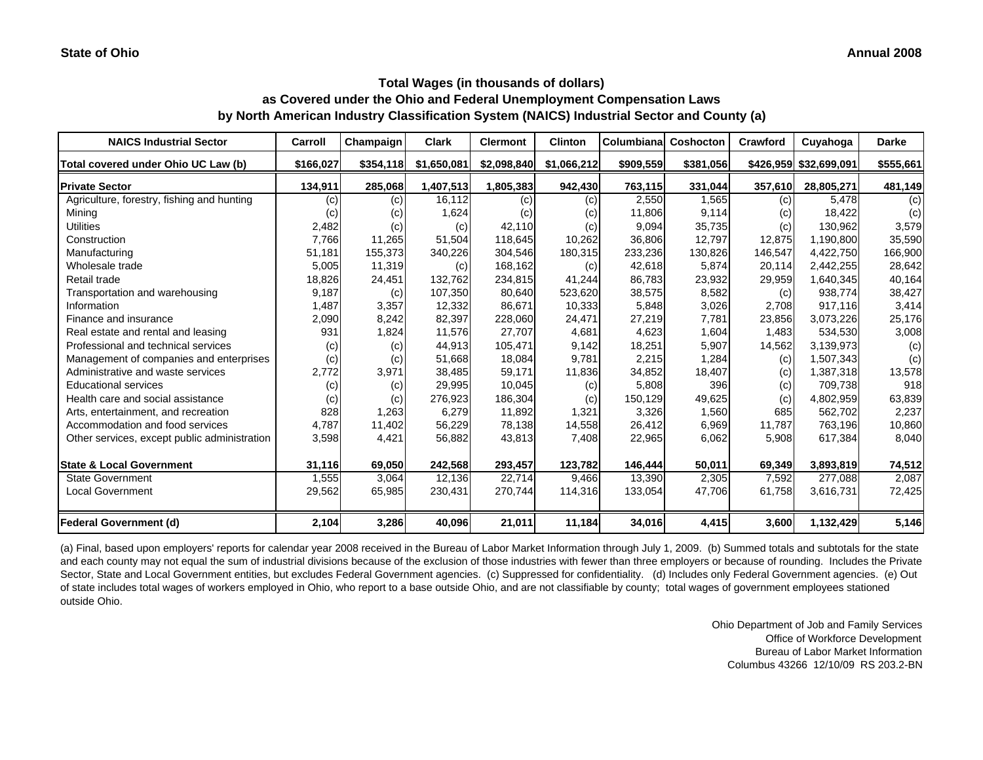| <b>NAICS Industrial Sector</b>               | Carroll   | Champaign | <b>Clark</b> | <b>Clermont</b> | <b>Clinton</b> | <b>Columbiana</b> | <b>Coshocton</b> | Crawford | Cuyahoga               | <b>Darke</b> |
|----------------------------------------------|-----------|-----------|--------------|-----------------|----------------|-------------------|------------------|----------|------------------------|--------------|
| Total covered under Ohio UC Law (b)          | \$166,027 | \$354,118 | \$1,650,081  | \$2,098,840     | \$1,066,212    | \$909,559         | \$381,056        |          | \$426,959 \$32,699,091 | \$555,661    |
| <b>Private Sector</b>                        | 134,911   | 285,068   | 1,407,513    | 1,805,383       | 942,430        | 763,115           | 331,044          | 357,610  | 28,805,271             | 481,149      |
| Agriculture, forestry, fishing and hunting   | (c)       | (c)       | 16,112       | (c)             | (c)            | 2,550             | 1.565            | (c)      | 5.478                  | (c)          |
| Mining                                       | (c)       | (c)       | 1,624        | (c)             | (c)            | 11,806            | 9,114            | (c)      | 18,422                 | (c)          |
| <b>Utilities</b>                             | 2,482     | (c)       | (c)          | 42,110          | (c)            | 9,094             | 35,735           | (c)      | 130,962                | 3,579        |
| Construction                                 | 7,766     | 11,265    | 51,504       | 118.645         | 10.262         | 36,806            | 12.797           | 12,875   | 1,190,800              | 35,590       |
| Manufacturing                                | 51,181    | 155,373   | 340,226      | 304,546         | 180,315        | 233,236           | 130,826          | 146,547  | 4,422,750              | 166,900      |
| Wholesale trade                              | 5,005     | 11,319    | (c)          | 168,162         | (c)            | 42,618            | 5,874            | 20,114   | 2,442,255              | 28,642       |
| Retail trade                                 | 18,826    | 24,451    | 132,762      | 234,815         | 41,244         | 86,783            | 23,932           | 29,959   | 1,640,345              | 40,164       |
| Transportation and warehousing               | 9,187     | (c)       | 107,350      | 80,640          | 523,620        | 38,575            | 8,582            | (c)      | 938,774                | 38,427       |
| Information                                  | 1,487     | 3,357     | 12,332       | 86,671          | 10,333         | 5,848             | 3,026            | 2,708    | 917,116                | 3,414        |
| Finance and insurance                        | 2,090     | 8,242     | 82,397       | 228,060         | 24,471         | 27,219            | 7,781            | 23,856   | 3,073,226              | 25,176       |
| Real estate and rental and leasing           | 931       | 1,824     | 11,576       | 27,707          | 4,681          | 4,623             | 1,604            | 1,483    | 534,530                | 3,008        |
| Professional and technical services          | (c)       | (c)       | 44,913       | 105,471         | 9,142          | 18,251            | 5,907            | 14,562   | 3,139,973              | (c)          |
| Management of companies and enterprises      | (c)       | (c)       | 51,668       | 18,084          | 9,781          | 2,215             | 1,284            | (c)      | 1,507,343              | (c)          |
| Administrative and waste services            | 2,772     | 3,971     | 38,485       | 59,171          | 11,836         | 34,852            | 18,407           | (c)      | 1,387,318              | 13,578       |
| <b>Educational services</b>                  | (c)       | (c)       | 29,995       | 10,045          | (c)            | 5,808             | 396              | (c)      | 709,738                | 918          |
| Health care and social assistance            | (c)       | (c)       | 276,923      | 186,304         | (c)            | 150,129           | 49,625           | (c)      | 4,802,959              | 63,839       |
| Arts, entertainment, and recreation          | 828       | 1,263     | 6,279        | 11,892          | 1.321          | 3,326             | 1,560            | 685      | 562,702                | 2,237        |
| Accommodation and food services              | 4,787     | 11,402    | 56,229       | 78,138          | 14,558         | 26,412            | 6,969            | 11.787   | 763,196                | 10,860       |
| Other services, except public administration | 3,598     | 4,421     | 56,882       | 43,813          | 7,408          | 22,965            | 6,062            | 5,908    | 617,384                | 8,040        |
| <b>State &amp; Local Government</b>          | 31,116    | 69,050    | 242,568      | 293,457         | 123,782        | 146,444           | 50,011           | 69,349   | 3,893,819              | 74,512       |
| <b>State Government</b>                      | 1,555     | 3,064     | 12,136       | 22.714          | 9,466          | 13,390            | 2,305            | 7,592    | 277,088                | 2,087        |
| <b>Local Government</b>                      | 29,562    | 65,985    | 230,431      | 270,744         | 114,316        | 133,054           | 47,706           | 61,758   | 3,616,731              | 72,425       |
| <b>Federal Government (d)</b>                | 2,104     | 3,286     | 40,096       | 21,011          | 11,184         | 34,016            | 4,415            | 3,600    | 1,132,429              | 5,146        |

(a) Final, based upon employers' reports for calendar year 2008 received in the Bureau of Labor Market Information through July 1, 2009. (b) Summed totals and subtotals for the state and each county may not equal the sum of industrial divisions because of the exclusion of those industries with fewer than three employers or because of rounding. Includes the Private Sector, State and Local Government entities, but excludes Federal Government agencies. (c) Suppressed for confidentiality. (d) Includes only Federal Government agencies. (e) Out of state includes total wages of workers employed in Ohio, who report to a base outside Ohio, and are not classifiable by county; total wages of government employees stationed outside Ohio.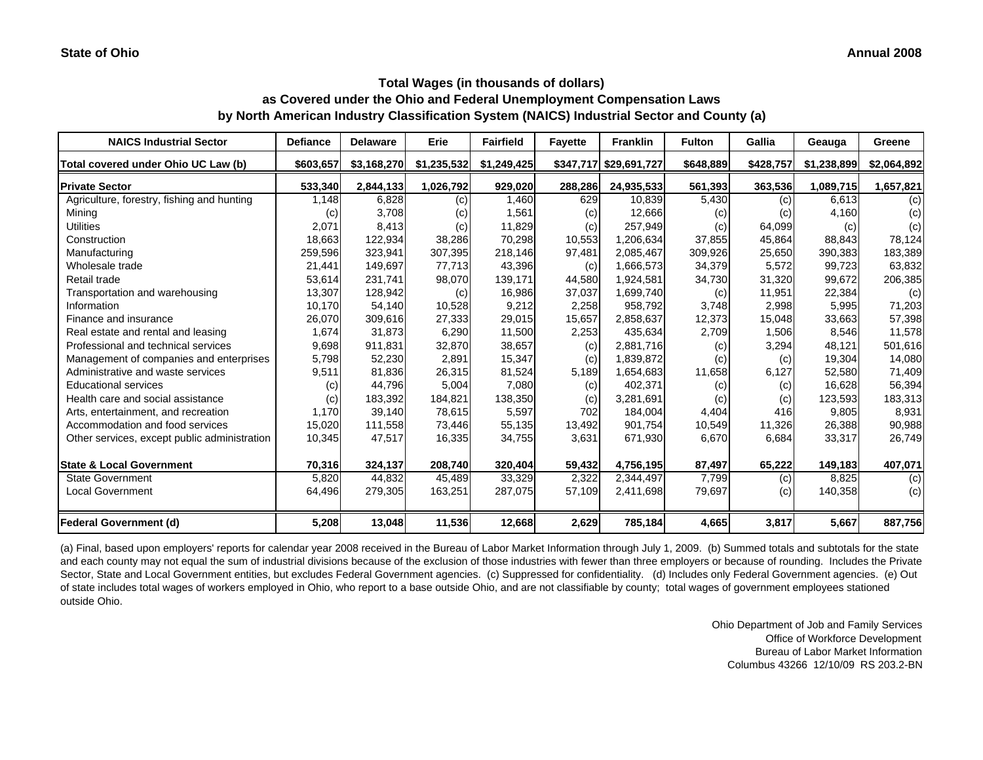| <b>NAICS Industrial Sector</b>               | Defiance  | <b>Delaware</b> | Erie        | <b>Fairfield</b> | <b>Fayette</b> | <b>Franklin</b>        | <b>Fulton</b> | Gallia    | Geauga      | Greene      |
|----------------------------------------------|-----------|-----------------|-------------|------------------|----------------|------------------------|---------------|-----------|-------------|-------------|
| Total covered under Ohio UC Law (b)          | \$603,657 | \$3,168,270     | \$1,235,532 | \$1,249,425      |                | \$347,717 \$29,691,727 | \$648,889     | \$428,757 | \$1,238,899 | \$2,064,892 |
| <b>Private Sector</b>                        | 533,340   | 2,844,133       | 1,026,792   | 929,020          | 288,286        | 24,935,533             | 561,393       | 363,536   | 1,089,715   | 1,657,821   |
| Agriculture, forestry, fishing and hunting   | 1,148     | 6,828           | (c)         | 1,460            | 629            | 10,839                 | 5,430         | (c)       | 6,613       | (c)         |
| Mining                                       | (c)       | 3,708           | (c)         | 1,561            | (c)            | 12,666                 | (c)           | (c)       | 4,160       | (c)         |
| <b>Utilities</b>                             | 2,071     | 8,413           | (c)         | 11,829           | (c)            | 257,949                | (c)           | 64,099    | (c)         | (c)         |
| Construction                                 | 18,663    | 122,934         | 38,286      | 70,298           | 10,553         | 1,206,634              | 37,855        | 45,864    | 88.843      | 78,124      |
| Manufacturing                                | 259,596   | 323,941         | 307,395     | 218,146          | 97,481         | 2,085,467              | 309,926       | 25,650    | 390,383     | 183,389     |
| Wholesale trade                              | 21,441    | 149,697         | 77,713      | 43,396           | (c)            | 1,666,573              | 34,379        | 5,572     | 99.723      | 63,832      |
| Retail trade                                 | 53,614    | 231,741         | 98,070      | 139,171          | 44,580         | 1,924,581              | 34,730        | 31,320    | 99,672      | 206,385     |
| Transportation and warehousing               | 13,307    | 128,942         | (c)         | 16,986           | 37,037         | 1,699,740              | (c)           | 11,951    | 22,384      | (c)         |
| Information                                  | 10,170    | 54,140          | 10,528      | 9,212            | 2,258          | 958,792                | 3,748         | 2,998     | 5,995       | 71,203      |
| Finance and insurance                        | 26,070    | 309,616         | 27,333      | 29,015           | 15,657         | 2,858,637              | 12,373        | 15,048    | 33,663      | 57,398      |
| Real estate and rental and leasing           | 1,674     | 31,873          | 6,290       | 11,500           | 2,253          | 435,634                | 2,709         | 1,506     | 8,546       | 11,578      |
| Professional and technical services          | 9,698     | 911,831         | 32,870      | 38,657           | (c)            | 2,881,716              | (c)           | 3,294     | 48,121      | 501,616     |
| Management of companies and enterprises      | 5,798     | 52,230          | 2,891       | 15,347           | (c)            | 1,839,872              | (c)           | (c)       | 19,304      | 14,080      |
| Administrative and waste services            | 9,511     | 81,836          | 26,315      | 81,524           | 5,189          | 1,654,683              | 11,658        | 6,127     | 52,580      | 71,409      |
| <b>Educational services</b>                  | (c)       | 44,796          | 5,004       | 7,080            | (c)            | 402,371                | (c)           | (c)       | 16,628      | 56,394      |
| Health care and social assistance            | (c)       | 183,392         | 184,821     | 138,350          | (c)            | 3,281,691              | (c)           | (c)       | 123,593     | 183,313     |
| Arts, entertainment, and recreation          | 1,170     | 39.140          | 78,615      | 5,597            | 702            | 184,004                | 4,404         | 416       | 9.805       | 8,931       |
| Accommodation and food services              | 15,020    | 111,558         | 73,446      | 55,135           | 13,492         | 901,754                | 10,549        | 11,326    | 26,388      | 90,988      |
| Other services, except public administration | 10,345    | 47,517          | 16,335      | 34,755           | 3,631          | 671,930                | 6,670         | 6,684     | 33,317      | 26,749      |
| <b>State &amp; Local Government</b>          | 70,316    | 324,137         | 208,740     | 320,404          | 59,432         | 4,756,195              | 87,497        | 65,222    | 149,183     | 407,071     |
| <b>State Government</b>                      | 5,820     | 44,832          | 45,489      | 33,329           | 2,322          | 2,344,497              | 7,799         | (c)       | 8,825       | (c)         |
| <b>Local Government</b>                      | 64,496    | 279,305         | 163,251     | 287,075          | 57,109         | 2,411,698              | 79,697        | (c)       | 140,358     | (c)         |
| <b>Federal Government (d)</b>                | 5,208     | 13,048          | 11,536      | 12,668           | 2,629          | 785,184                | 4,665         | 3,817     | 5,667       | 887,756     |

(a) Final, based upon employers' reports for calendar year 2008 received in the Bureau of Labor Market Information through July 1, 2009. (b) Summed totals and subtotals for the state and each county may not equal the sum of industrial divisions because of the exclusion of those industries with fewer than three employers or because of rounding. Includes the Private Sector, State and Local Government entities, but excludes Federal Government agencies. (c) Suppressed for confidentiality. (d) Includes only Federal Government agencies. (e) Out of state includes total wages of workers employed in Ohio, who report to a base outside Ohio, and are not classifiable by county; total wages of government employees stationed outside Ohio.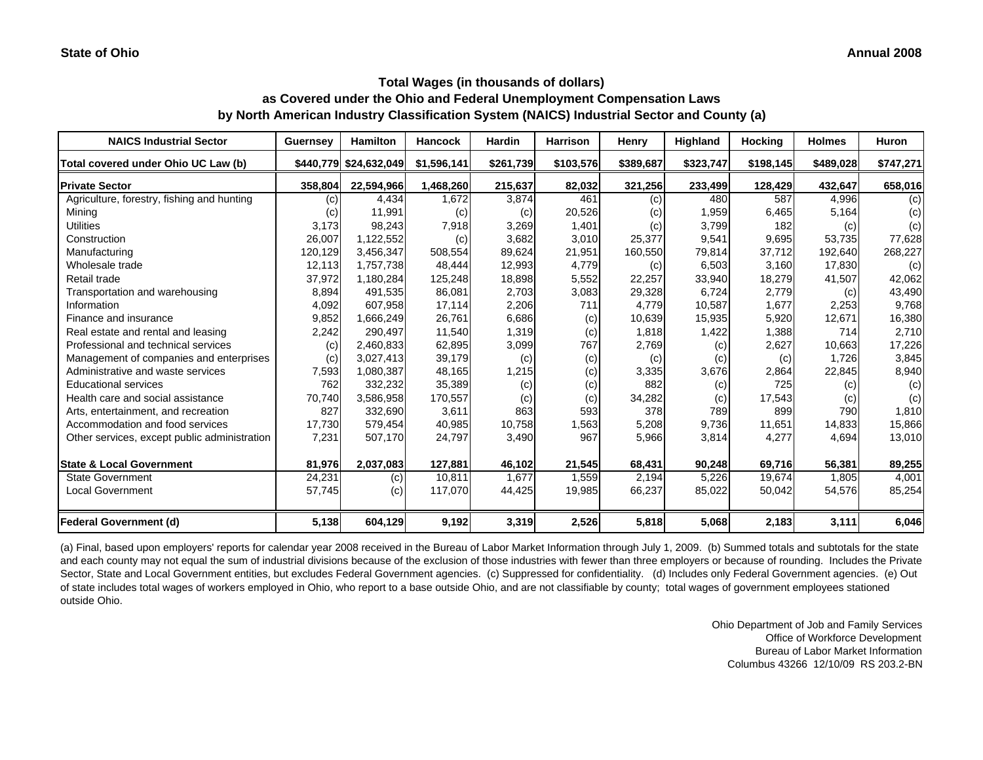#### **Annual 2008**

### **Total Wages (in thousands of dollars) as Covered under the Ohio and Federal Unemployment Compensation Laws by North American Industry Classification System (NAICS) Industrial Sector and County (a)**

| <b>NAICS Industrial Sector</b>               | <b>Guernsey</b>   | <b>Hamilton</b>        | <b>Hancock</b> | <b>Hardin</b> | <b>Harrison</b> | Henry     | Highland  | <b>Hocking</b> | <b>Holmes</b> | <b>Huron</b> |
|----------------------------------------------|-------------------|------------------------|----------------|---------------|-----------------|-----------|-----------|----------------|---------------|--------------|
| Total covered under Ohio UC Law (b)          |                   | \$440,779 \$24,632,049 | \$1,596,141    | \$261,739     | \$103,576       | \$389,687 | \$323,747 | \$198,145      | \$489,028     | \$747,271    |
| <b>Private Sector</b>                        | 358,804           | 22,594,966             | 1,468,260      | 215,637       | 82,032          | 321,256   | 233,499   | 128,429        | 432,647       | 658,016      |
| Agriculture, forestry, fishing and hunting   | $\left( c\right)$ | 4,434                  | 1,672          | 3,874         | 461             | (c)       | 480       | 587            | 4,996         | (c)          |
| Mining                                       | (c)               | 11,991                 | (c)            | (c)           | 20,526          | (c)       | 1,959     | 6,465          | 5,164         | (c)          |
| <b>Utilities</b>                             | 3,173             | 98,243                 | 7,918          | 3,269         | 1,401           | (c)       | 3,799     | 182            | (c)           | (c)          |
| Construction                                 | 26,007            | 1,122,552              | (c)            | 3,682         | 3,010           | 25,377    | 9,541     | 9,695          | 53,735        | 77,628       |
| Manufacturing                                | 120,129           | 3,456,347              | 508,554        | 89,624        | 21,951          | 160,550   | 79,814    | 37,712         | 192,640       | 268,227      |
| Wholesale trade                              | 12,113            | 1,757,738              | 48,444         | 12,993        | 4,779           | (c)       | 6,503     | 3,160          | 17,830        | (c)          |
| Retail trade                                 | 37,972            | 1,180,284              | 125,248        | 18,898        | 5,552           | 22,257    | 33,940    | 18,279         | 41,507        | 42,062       |
| Transportation and warehousing               | 8,894             | 491.535                | 86,081         | 2,703         | 3,083           | 29,328    | 6,724     | 2,779          | (c)           | 43,490       |
| Information                                  | 4,092             | 607.958                | 17,114         | 2,206         | 711             | 4,779     | 10,587    | 1,677          | 2,253         | 9,768        |
| Finance and insurance                        | 9,852             | 1,666,249              | 26,761         | 6,686         | (c)             | 10,639    | 15,935    | 5,920          | 12,671        | 16,380       |
| Real estate and rental and leasing           | 2,242             | 290,497                | 11,540         | 1,319         | (c)             | 1,818     | 1,422     | 1,388          | 714           | 2,710        |
| Professional and technical services          | (c)               | 2,460,833              | 62,895         | 3,099         | 767             | 2,769     | (c)       | 2,627          | 10,663        | 17,226       |
| Management of companies and enterprises      | (c)               | 3,027,413              | 39,179         | (c)           | (c)             | (c)       | (c)       | (c)            | 1,726         | 3,845        |
| Administrative and waste services            | 7,593             | 1,080,387              | 48,165         | 1,215         | (c)             | 3,335     | 3,676     | 2,864          | 22,845        | 8,940        |
| <b>Educational services</b>                  | 762               | 332,232                | 35,389         | (c)           | (c)             | 882       | (c)       | 725            | (c)           | (c)          |
| Health care and social assistance            | 70,740            | 3,586,958              | 170,557        | (c)           | (c)             | 34,282    | (c)       | 17,543         | (c)           | (c)          |
| Arts, entertainment, and recreation          | 827               | 332,690                | 3,611          | 863           | 593             | 378       | 789       | 899            | 790           | 1,810        |
| Accommodation and food services              | 17,730            | 579,454                | 40,985         | 10,758        | 1,563           | 5,208     | 9,736     | 11,651         | 14,833        | 15,866       |
| Other services, except public administration | 7,231             | 507,170                | 24,797         | 3,490         | 967             | 5,966     | 3,814     | 4,277          | 4,694         | 13,010       |
| <b>State &amp; Local Government</b>          | 81,976            | 2,037,083              | 127,881        | 46,102        | 21,545          | 68,431    | 90,248    | 69,716         | 56,381        | 89,255       |
| <b>State Government</b>                      | 24,231            | (c)                    | 10,811         | 1.677         | 1,559           | 2,194     | 5,226     | 19,674         | 1,805         | 4,001        |
| <b>Local Government</b>                      | 57,745            | (c)                    | 117,070        | 44,425        | 19,985          | 66,237    | 85,022    | 50,042         | 54,576        | 85,254       |
| <b>Federal Government (d)</b>                | 5,138             | 604,129                | 9,192          | 3,319         | 2,526           | 5,818     | 5,068     | 2,183          | 3,111         | 6,046        |

(a) Final, based upon employers' reports for calendar year 2008 received in the Bureau of Labor Market Information through July 1, 2009. (b) Summed totals and subtotals for the state and each county may not equal the sum of industrial divisions because of the exclusion of those industries with fewer than three employers or because of rounding. Includes the Private Sector, State and Local Government entities, but excludes Federal Government agencies. (c) Suppressed for confidentiality. (d) Includes only Federal Government agencies. (e) Out of state includes total wages of workers employed in Ohio, who report to a base outside Ohio, and are not classifiable by county; total wages of government employees stationed outside Ohio.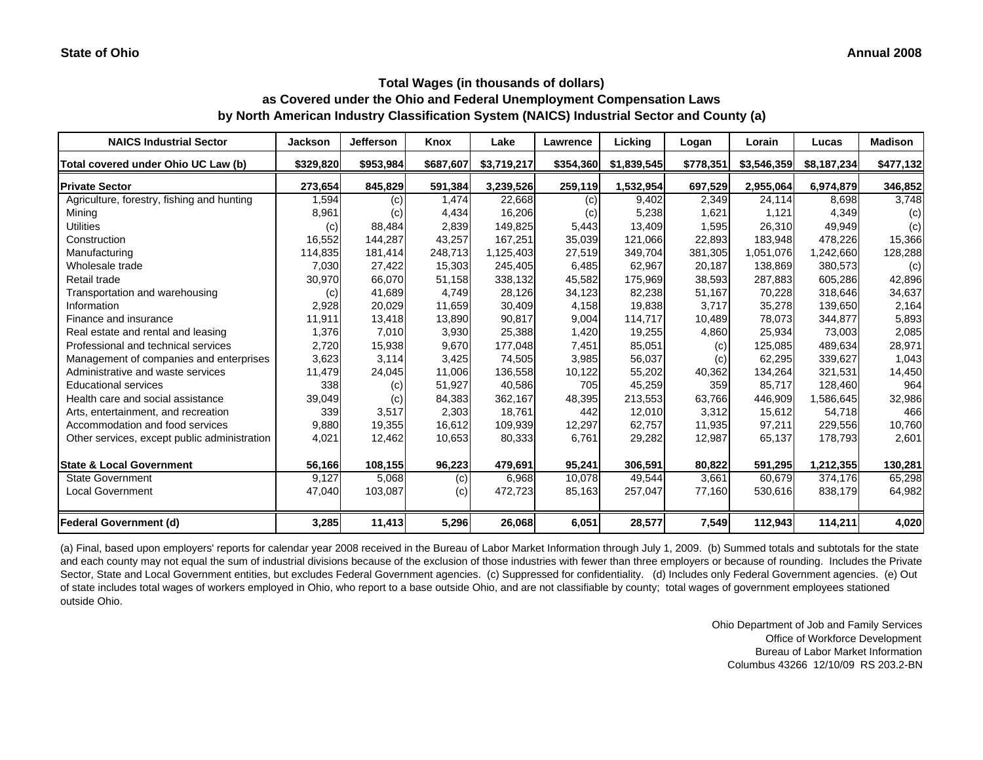| <b>NAICS Industrial Sector</b>               | <b>Jackson</b> | <b>Jefferson</b> | Knox      | Lake        | Lawrence  | Licking     | Logan     | Lorain      | Lucas       | <b>Madison</b> |
|----------------------------------------------|----------------|------------------|-----------|-------------|-----------|-------------|-----------|-------------|-------------|----------------|
| Total covered under Ohio UC Law (b)          | \$329,820      | \$953,984        | \$687,607 | \$3,719,217 | \$354,360 | \$1,839,545 | \$778,351 | \$3,546,359 | \$8,187,234 | \$477,132      |
| <b>Private Sector</b>                        | 273,654        | 845,829          | 591,384   | 3,239,526   | 259,119   | 1,532,954   | 697,529   | 2,955,064   | 6,974,879   | 346,852        |
| Agriculture, forestry, fishing and hunting   | 1,594          | (c)              | 1,474     | 22,668      | (c)       | 9,402       | 2,349     | 24,114      | 8,698       | 3,748          |
| Mining                                       | 8,961          | (c)              | 4,434     | 16,206      | (c)       | 5,238       | 1,621     | 1,121       | 4,349       | (c)            |
| <b>Utilities</b>                             | (c)            | 88,484           | 2,839     | 149,825     | 5,443     | 13,409      | 1,595     | 26,310      | 49,949      | (c)            |
| Construction                                 | 16,552         | 144,287          | 43,257    | 167,251     | 35,039    | 121,066     | 22,893    | 183.948     | 478,226     | 15,366         |
| Manufacturing                                | 114,835        | 181,414          | 248,713   | 1,125,403   | 27,519    | 349,704     | 381,305   | 1,051,076   | ,242,660    | 128,288        |
| Wholesale trade                              | 7,030          | 27,422           | 15,303    | 245,405     | 6,485     | 62,967      | 20,187    | 138,869     | 380,573     | (c)            |
| Retail trade                                 | 30,970         | 66,070           | 51,158    | 338,132     | 45,582    | 175,969     | 38,593    | 287,883     | 605,286     | 42,896         |
| Transportation and warehousing               | (c)            | 41,689           | 4,749     | 28,126      | 34,123    | 82,238      | 51,167    | 70,228      | 318,646     | 34,637         |
| Information                                  | 2,928          | 20,029           | 11,659    | 30,409      | 4,158     | 19,838      | 3,717     | 35,278      | 139,650     | 2,164          |
| Finance and insurance                        | 11,911         | 13,418           | 13,890    | 90,817      | 9,004     | 114,717     | 10,489    | 78,073      | 344,877     | 5,893          |
| Real estate and rental and leasing           | 1,376          | 7,010            | 3,930     | 25,388      | 1,420     | 19,255      | 4,860     | 25,934      | 73,003      | 2,085          |
| Professional and technical services          | 2,720          | 15,938           | 9,670     | 177,048     | 7,451     | 85,051      | (c)       | 125,085     | 489.634     | 28,971         |
| Management of companies and enterprises      | 3,623          | 3,114            | 3,425     | 74,505      | 3,985     | 56,037      | (c)       | 62,295      | 339,627     | 1,043          |
| Administrative and waste services            | 11,479         | 24,045           | 11,006    | 136,558     | 10,122    | 55,202      | 40,362    | 134,264     | 321,531     | 14,450         |
| <b>Educational services</b>                  | 338            | (c)              | 51,927    | 40,586      | 705       | 45,259      | 359       | 85,717      | 128,460     | 964            |
| Health care and social assistance            | 39,049         | (c)              | 84,383    | 362,167     | 48,395    | 213,553     | 63,766    | 446,909     | 1,586,645   | 32,986         |
| Arts, entertainment, and recreation          | 339            | 3,517            | 2,303     | 18.761      | 442       | 12,010      | 3,312     | 15,612      | 54,718      | 466            |
| Accommodation and food services              | 9,880          | 19,355           | 16.612    | 109,939     | 12,297    | 62,757      | 11,935    | 97,211      | 229,556     | 10,760         |
| Other services, except public administration | 4,021          | 12,462           | 10,653    | 80,333      | 6,761     | 29,282      | 12,987    | 65,137      | 178,793     | 2,601          |
| <b>State &amp; Local Government</b>          | 56,166         | 108,155          | 96,223    | 479,691     | 95,241    | 306,591     | 80,822    | 591,295     | 1,212,355   | 130,281        |
| <b>State Government</b>                      | 9,127          | 5,068            | (c)       | 6,968       | 10,078    | 49,544      | 3.661     | 60.679      | 374.176     | 65,298         |
| <b>Local Government</b>                      | 47,040         | 103,087          | (c)       | 472,723     | 85,163    | 257,047     | 77,160    | 530,616     | 838,179     | 64,982         |
| <b>Federal Government (d)</b>                | 3,285          | 11,413           | 5,296     | 26,068      | 6,051     | 28,577      | 7,549     | 112,943     | 114,211     | 4,020          |

(a) Final, based upon employers' reports for calendar year 2008 received in the Bureau of Labor Market Information through July 1, 2009. (b) Summed totals and subtotals for the state and each county may not equal the sum of industrial divisions because of the exclusion of those industries with fewer than three employers or because of rounding. Includes the Private Sector, State and Local Government entities, but excludes Federal Government agencies. (c) Suppressed for confidentiality. (d) Includes only Federal Government agencies. (e) Out of state includes total wages of workers employed in Ohio, who report to a base outside Ohio, and are not classifiable by county; total wages of government employees stationed outside Ohio.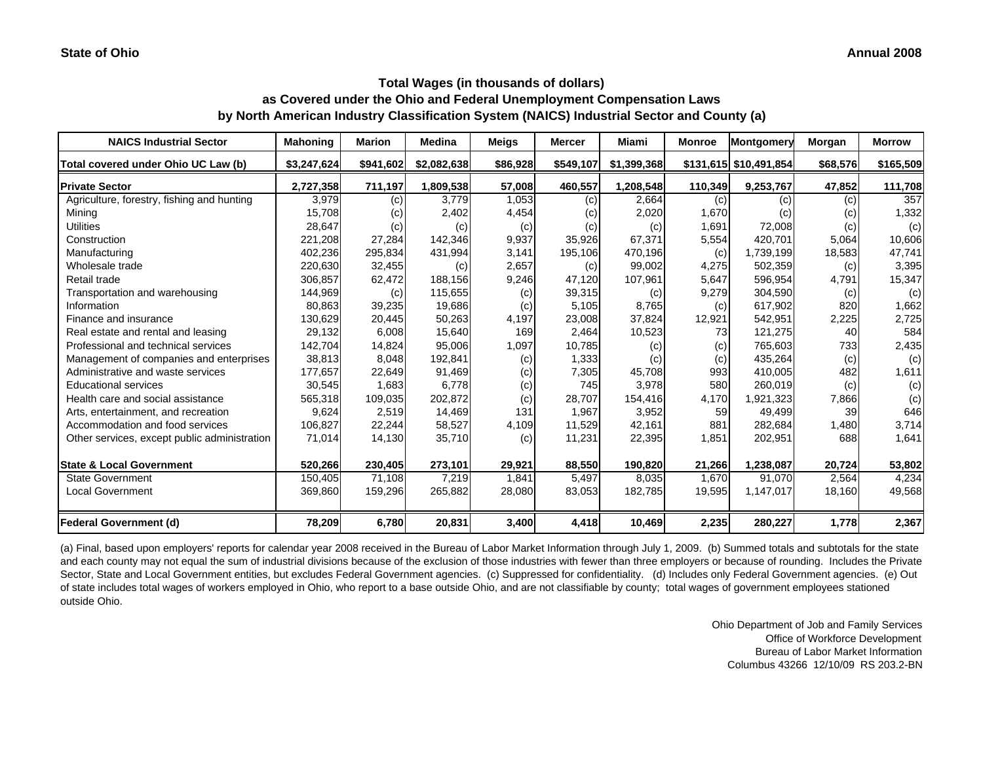| <b>NAICS Industrial Sector</b>               | <b>Mahoning</b> | <b>Marion</b> | <b>Medina</b> | <b>Meigs</b> | <b>Mercer</b> | Miami       | <b>Monroe</b> | <b>Montgomery</b>      | Morgan   | <b>Morrow</b> |
|----------------------------------------------|-----------------|---------------|---------------|--------------|---------------|-------------|---------------|------------------------|----------|---------------|
| Total covered under Ohio UC Law (b)          | \$3.247.624     | \$941,602     | \$2,082,638   | \$86,928     | \$549,107     | \$1,399,368 |               | \$131,615 \$10,491,854 | \$68,576 | \$165,509     |
| <b>Private Sector</b>                        | 2,727,358       | 711,197       | 1,809,538     | 57,008       | 460,557       | 1,208,548   | 110,349       | 9,253,767              | 47,852   | 111,708       |
| Agriculture, forestry, fishing and hunting   | 3,979           | (c)           | 3.779         | 1,053        | (c)           | 2,664       | (c)           | (c)                    | (c)      | 357           |
| Mining                                       | 15,708          | (c)           | 2,402         | 4,454        | (c)           | 2,020       | 1,670         | (c)                    | (c)      | 1,332         |
| <b>Utilities</b>                             | 28,647          | (c)           | (c)           | (c)          | (c)           | (c)         | 1,691         | 72,008                 | (c)      | (c)           |
| Construction                                 | 221,208         | 27,284        | 142,346       | 9,937        | 35,926        | 67,371      | 5.554         | 420,701                | 5,064    | 10,606        |
| Manufacturing                                | 402,236         | 295,834       | 431,994       | 3,141        | 195,106       | 470,196     | (c)           | 1,739,199              | 18,583   | 47,741        |
| Wholesale trade                              | 220,630         | 32,455        | (c)           | 2,657        | (c)           | 99,002      | 4,275         | 502,359                | (c)      | 3,395         |
| Retail trade                                 | 306,857         | 62,472        | 188,156       | 9,246        | 47,120        | 107,961     | 5,647         | 596,954                | 4,791    | 15,347        |
| Transportation and warehousing               | 144,969         | (c)           | 115,655       | (c)          | 39,315        | (c)         | 9,279         | 304,590                | (c)      | (c)           |
| Information                                  | 80,863          | 39,235        | 19,686        | (c)          | 5,105         | 8,765       | (c)           | 617,902                | 820      | 1,662         |
| Finance and insurance                        | 130,629         | 20,445        | 50,263        | 4,197        | 23,008        | 37,824      | 12,921        | 542,951                | 2,225    | 2,725         |
| Real estate and rental and leasing           | 29,132          | 6,008         | 15,640        | 169          | 2.464         | 10,523      | 73            | 121,275                | 40       | 584           |
| Professional and technical services          | 142,704         | 14,824        | 95,006        | 1,097        | 10,785        | (c)         | (c)           | 765,603                | 733      | 2,435         |
| Management of companies and enterprises      | 38,813          | 8,048         | 192,841       | (c)          | 1,333         | (c)         | (c)           | 435,264                | (c)      | (c)           |
| Administrative and waste services            | 177,657         | 22,649        | 91,469        | (c)          | 7,305         | 45,708      | 993           | 410,005                | 482      | 1,611         |
| <b>Educational services</b>                  | 30,545          | 1,683         | 6,778         | (c)          | 745           | 3,978       | 580           | 260,019                | (c)      | (c)           |
| Health care and social assistance            | 565,318         | 109,035       | 202,872       | (c)          | 28,707        | 154,416     | 4,170         | 1,921,323              | 7,866    | (c)           |
| Arts, entertainment, and recreation          | 9,624           | 2,519         | 14,469        | 131          | 1,967         | 3,952       | 59            | 49,499                 | 39       | 646           |
| Accommodation and food services              | 106,827         | 22,244        | 58,527        | 4,109        | 11,529        | 42,161      | 881           | 282,684                | 1,480    | 3,714         |
| Other services, except public administration | 71,014          | 14,130        | 35,710        | (c)          | 11,231        | 22,395      | 1,851         | 202,951                | 688      | 1,641         |
| <b>State &amp; Local Government</b>          | 520,266         | 230,405       | 273,101       | 29,921       | 88,550        | 190,820     | 21,266        | 1,238,087              | 20,724   | 53,802        |
| <b>State Government</b>                      | 150,405         | 71,108        | 7,219         | 1,841        | 5,497         | 8,035       | 1,670         | 91.070                 | 2,564    | 4,234         |
| <b>Local Government</b>                      | 369,860         | 159,296       | 265,882       | 28,080       | 83,053        | 182,785     | 19,595        | 1,147,017              | 18,160   | 49,568        |
| <b>Federal Government (d)</b>                | 78,209          | 6,780         | 20,831        | 3,400        | 4,418         | 10,469      | 2,235         | 280,227                | 1,778    | 2,367         |

(a) Final, based upon employers' reports for calendar year 2008 received in the Bureau of Labor Market Information through July 1, 2009. (b) Summed totals and subtotals for the state and each county may not equal the sum of industrial divisions because of the exclusion of those industries with fewer than three employers or because of rounding. Includes the Private Sector, State and Local Government entities, but excludes Federal Government agencies. (c) Suppressed for confidentiality. (d) Includes only Federal Government agencies. (e) Out of state includes total wages of workers employed in Ohio, who report to a base outside Ohio, and are not classifiable by county; total wages of government employees stationed outside Ohio.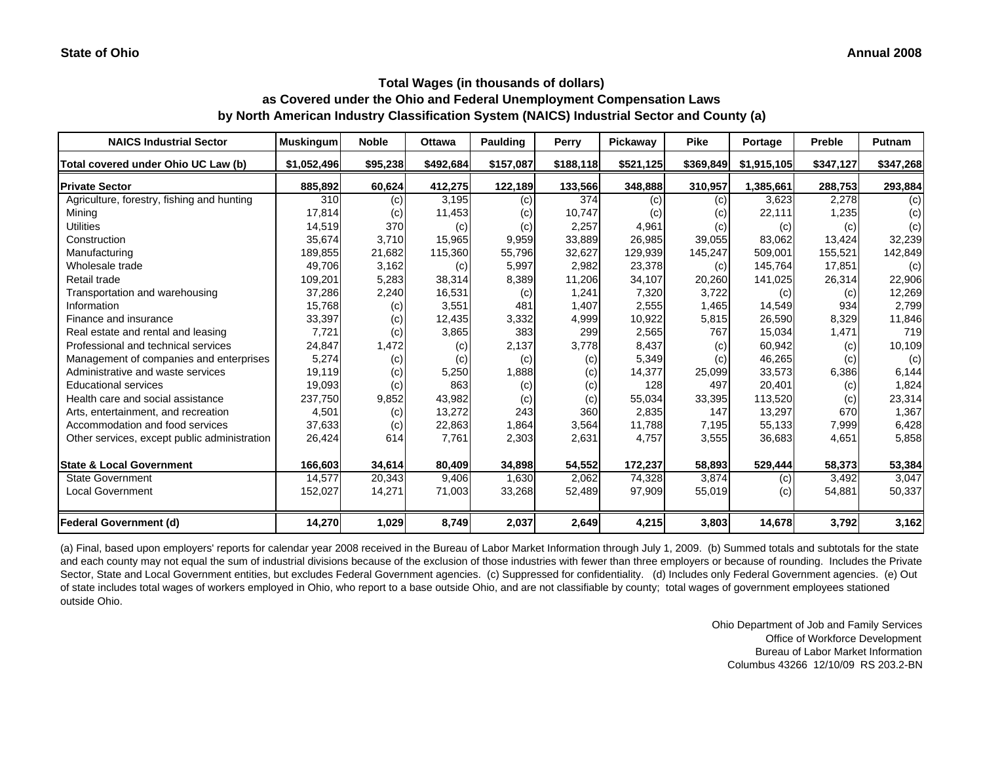| <b>NAICS Industrial Sector</b>               | <b>Muskingum</b> | <b>Noble</b> | <b>Ottawa</b> | <b>Paulding</b> | Perry     | Pickaway  | <b>Pike</b> | Portage     | Preble    | <b>Putnam</b> |
|----------------------------------------------|------------------|--------------|---------------|-----------------|-----------|-----------|-------------|-------------|-----------|---------------|
| Total covered under Ohio UC Law (b)          | \$1,052,496      | \$95,238     | \$492,684     | \$157,087       | \$188,118 | \$521,125 | \$369,849   | \$1,915,105 | \$347,127 | \$347,268     |
| <b>Private Sector</b>                        | 885,892          | 60,624       | 412,275       | 122,189         | 133,566   | 348,888   | 310,957     | 1,385,661   | 288,753   | 293,884       |
| Agriculture, forestry, fishing and hunting   | 310              | (c)          | 3,195         | (c)             | 374       | (c)       | (c)         | 3,623       | 2,278     | (c)           |
| Mining                                       | 17,814           | (c)          | 11,453        | (c)             | 10,747    | (c)       | (c)         | 22,111      | 1,235     | (c)           |
| <b>Utilities</b>                             | 14,519           | 370          | (c)           | (c)             | 2,257     | 4,961     | (c)         | (c)         | (c)       | (c)           |
| Construction                                 | 35,674           | 3,710        | 15,965        | 9,959           | 33,889    | 26,985    | 39,055      | 83,062      | 13,424    | 32,239        |
| Manufacturing                                | 189,855          | 21,682       | 115,360       | 55,796          | 32,627    | 129,939   | 145,247     | 509,001     | 155,521   | 142,849       |
| Wholesale trade                              | 49.706           | 3,162        | (c)           | 5,997           | 2,982     | 23,378    | (c)         | 145,764     | 17,851    | (c)           |
| Retail trade                                 | 109,201          | 5,283        | 38,314        | 8,389           | 11,206    | 34,107    | 20,260      | 141,025     | 26,314    | 22,906        |
| Transportation and warehousing               | 37,286           | 2,240        | 16,531        | (c)             | 1,241     | 7,320     | 3,722       | (c)         | (c)       | 12,269        |
| Information                                  | 15,768           | (c)          | 3,551         | 481             | 1,407     | 2,555     | 1,465       | 14,549      | 934       | 2,799         |
| Finance and insurance                        | 33,397           | (c)          | 12,435        | 3,332           | 4,999     | 10,922    | 5,815       | 26,590      | 8,329     | 11,846        |
| Real estate and rental and leasing           | 7,721            | (c)          | 3,865         | 383             | 299       | 2,565     | 767         | 15,034      | 1,471     | 719           |
| Professional and technical services          | 24,847           | 1,472        | (c)           | 2,137           | 3,778     | 8,437     | (c)         | 60,942      | (c)       | 10,109        |
| Management of companies and enterprises      | 5,274            | (c)          | (c)           | (c)             | (c)       | 5,349     | (c)         | 46,265      | (c)       | (c)           |
| Administrative and waste services            | 19,119           | (c)          | 5,250         | 1,888           | (c)       | 14,377    | 25,099      | 33,573      | 6,386     | 6,144         |
| <b>Educational services</b>                  | 19,093           | (c)          | 863           | (c)             | (c)       | 128       | 497         | 20,401      | (c)       | 1,824         |
| Health care and social assistance            | 237,750          | 9,852        | 43,982        | (c)             | (c)       | 55,034    | 33,395      | 113,520     | (c)       | 23,314        |
| Arts, entertainment, and recreation          | 4,501            | (c)          | 13,272        | 243             | 360       | 2,835     | 147         | 13,297      | 670       | 1,367         |
| Accommodation and food services              | 37,633           | (c)          | 22,863        | 1,864           | 3,564     | 11,788    | 7,195       | 55,133      | 7,999     | 6,428         |
| Other services, except public administration | 26,424           | 614          | 7,761         | 2,303           | 2,631     | 4,757     | 3,555       | 36,683      | 4,651     | 5,858         |
| <b>State &amp; Local Government</b>          | 166,603          | 34.614       | 80,409        | 34,898          | 54,552    | 172,237   | 58,893      | 529,444     | 58,373    | 53,384        |
| <b>State Government</b>                      | 14,577           | 20,343       | 9,406         | 1,630           | 2,062     | 74,328    | 3,874       | (c)         | 3,492     | 3,047         |
| <b>Local Government</b>                      | 152,027          | 14,271       | 71,003        | 33,268          | 52,489    | 97,909    | 55,019      | (c)         | 54,881    | 50,337        |
| Federal Government (d)                       | 14,270           | 1,029        | 8,749         | 2,037           | 2,649     | 4,215     | 3,803       | 14,678      | 3,792     | 3,162         |

(a) Final, based upon employers' reports for calendar year 2008 received in the Bureau of Labor Market Information through July 1, 2009. (b) Summed totals and subtotals for the state and each county may not equal the sum of industrial divisions because of the exclusion of those industries with fewer than three employers or because of rounding. Includes the Private Sector, State and Local Government entities, but excludes Federal Government agencies. (c) Suppressed for confidentiality. (d) Includes only Federal Government agencies. (e) Out of state includes total wages of workers employed in Ohio, who report to a base outside Ohio, and are not classifiable by county; total wages of government employees stationed outside Ohio.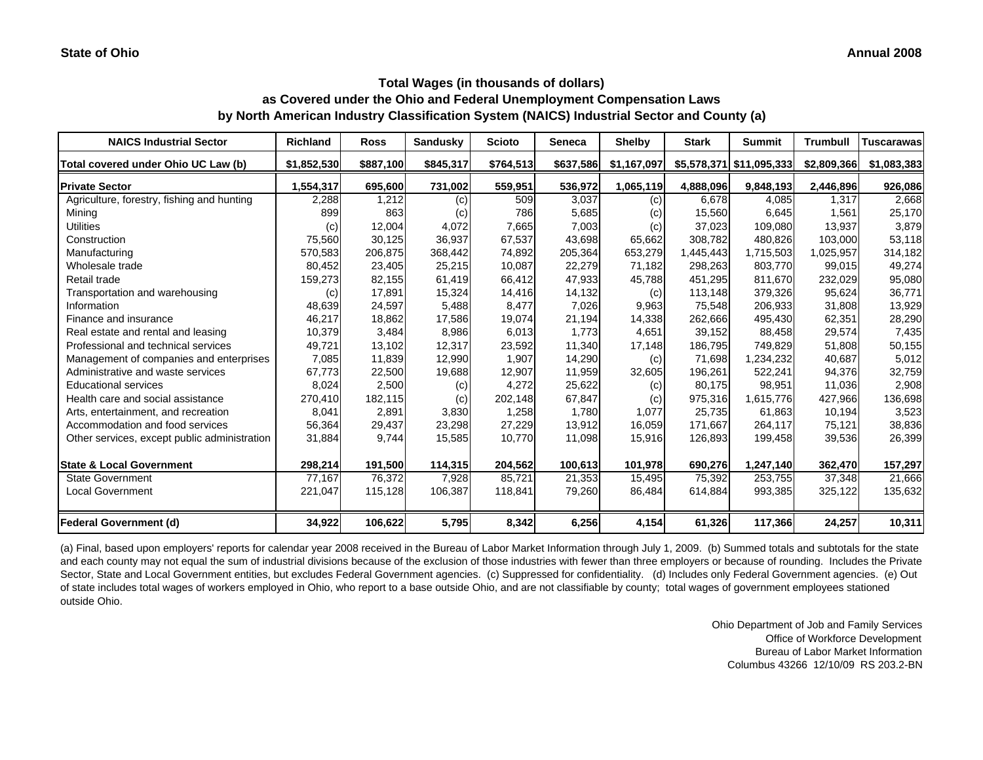| <b>NAICS Industrial Sector</b>               | <b>Richland</b> | <b>Ross</b> | Sandusky  | <b>Scioto</b> | <b>Seneca</b> | <b>Shelby</b> | <b>Stark</b> | <b>Summit</b>            | <b>Trumbull</b> | <b>Tuscarawas</b> |
|----------------------------------------------|-----------------|-------------|-----------|---------------|---------------|---------------|--------------|--------------------------|-----------------|-------------------|
| Total covered under Ohio UC Law (b)          | \$1,852,530     | \$887,100   | \$845,317 | \$764,513     | \$637,586     | \$1,167,097   |              | \$5,578,371 \$11,095,333 | \$2,809,366     | \$1,083,383       |
| <b>Private Sector</b>                        | 1,554,317       | 695,600     | 731,002   | 559,951       | 536,972       | 1,065,119     | 4,888,096    | 9,848,193                | 2,446,896       | 926,086           |
| Agriculture, forestry, fishing and hunting   | 2,288           | 1,212       | (c)       | 509           | 3,037         | (c)           | 6,678        | 4,085                    | 1,317           | 2,668             |
| Mining                                       | 899             | 863         | (c)       | 786           | 5,685         | (c)           | 15,560       | 6,645                    | 1,561           | 25,170            |
| <b>Utilities</b>                             | (c)             | 12,004      | 4,072     | 7,665         | 7,003         | (c)           | 37,023       | 109,080                  | 13,937          | 3,879             |
| Construction                                 | 75,560          | 30,125      | 36,937    | 67,537        | 43,698        | 65,662        | 308.782      | 480.826                  | 103.000         | 53,118            |
| Manufacturing                                | 570,583         | 206,875     | 368,442   | 74,892        | 205,364       | 653,279       | 1,445,443    | 1,715,503                | 1,025,957       | 314,182           |
| Wholesale trade                              | 80,452          | 23,405      | 25,215    | 10,087        | 22,279        | 71,182        | 298,263      | 803,770                  | 99,015          | 49,274            |
| Retail trade                                 | 159,273         | 82,155      | 61,419    | 66,412        | 47,933        | 45,788        | 451,295      | 811,670                  | 232,029         | 95,080            |
| Transportation and warehousing               | (c)             | 17,891      | 15,324    | 14,416        | 14,132        | (c)           | 113,148      | 379,326                  | 95,624          | 36,771            |
| Information                                  | 48,639          | 24,597      | 5,488     | 8,477         | 7,026         | 9,963         | 75,548       | 206,933                  | 31,808          | 13,929            |
| Finance and insurance                        | 46,217          | 18,862      | 17,586    | 19,074        | 21,194        | 14,338        | 262,666      | 495,430                  | 62,351          | 28,290            |
| Real estate and rental and leasing           | 10,379          | 3,484       | 8,986     | 6,013         | 1,773         | 4,651         | 39,152       | 88,458                   | 29,574          | 7,435             |
| Professional and technical services          | 49,721          | 13,102      | 12,317    | 23,592        | 11,340        | 17,148        | 186,795      | 749,829                  | 51,808          | 50,155            |
| Management of companies and enterprises      | 7,085           | 11,839      | 12,990    | 1,907         | 14,290        | (c)           | 71,698       | 1,234,232                | 40,687          | 5,012             |
| Administrative and waste services            | 67,773          | 22,500      | 19,688    | 12,907        | 11,959        | 32,605        | 196,261      | 522,241                  | 94,376          | 32,759            |
| <b>Educational services</b>                  | 8,024           | 2,500       | (c)       | 4,272         | 25,622        | (c)           | 80,175       | 98,951                   | 11,036          | 2,908             |
| Health care and social assistance            | 270,410         | 182,115     | (c)       | 202,148       | 67,847        | (c)           | 975,316      | 1,615,776                | 427,966         | 136,698           |
| Arts, entertainment, and recreation          | 8,041           | 2,891       | 3,830     | 1,258         | 1,780         | 1,077         | 25,735       | 61,863                   | 10,194          | 3,523             |
| Accommodation and food services              | 56,364          | 29,437      | 23,298    | 27,229        | 13,912        | 16,059        | 171,667      | 264,117                  | 75,121          | 38,836            |
| Other services, except public administration | 31,884          | 9,744       | 15,585    | 10,770        | 11,098        | 15,916        | 126,893      | 199,458                  | 39,536          | 26,399            |
| <b>State &amp; Local Government</b>          | 298,214         | 191,500     | 114,315   | 204,562       | 100,613       | 101,978       | 690,276      | 1,247,140                | 362,470         | 157,297           |
| <b>State Government</b>                      | 77,167          | 76,372      | 7,928     | 85,721        | 21,353        | 15,495        | 75,392       | 253,755                  | 37,348          | 21,666            |
| <b>Local Government</b>                      | 221,047         | 115,128     | 106,387   | 118,841       | 79,260        | 86,484        | 614,884      | 993,385                  | 325,122         | 135,632           |
| <b>Federal Government (d)</b>                | 34,922          | 106,622     | 5,795     | 8,342         | 6,256         | 4,154         | 61,326       | 117,366                  | 24,257          | 10,311            |

(a) Final, based upon employers' reports for calendar year 2008 received in the Bureau of Labor Market Information through July 1, 2009. (b) Summed totals and subtotals for the state and each county may not equal the sum of industrial divisions because of the exclusion of those industries with fewer than three employers or because of rounding. Includes the Private Sector, State and Local Government entities, but excludes Federal Government agencies. (c) Suppressed for confidentiality. (d) Includes only Federal Government agencies. (e) Out of state includes total wages of workers employed in Ohio, who report to a base outside Ohio, and are not classifiable by county; total wages of government employees stationed outside Ohio.